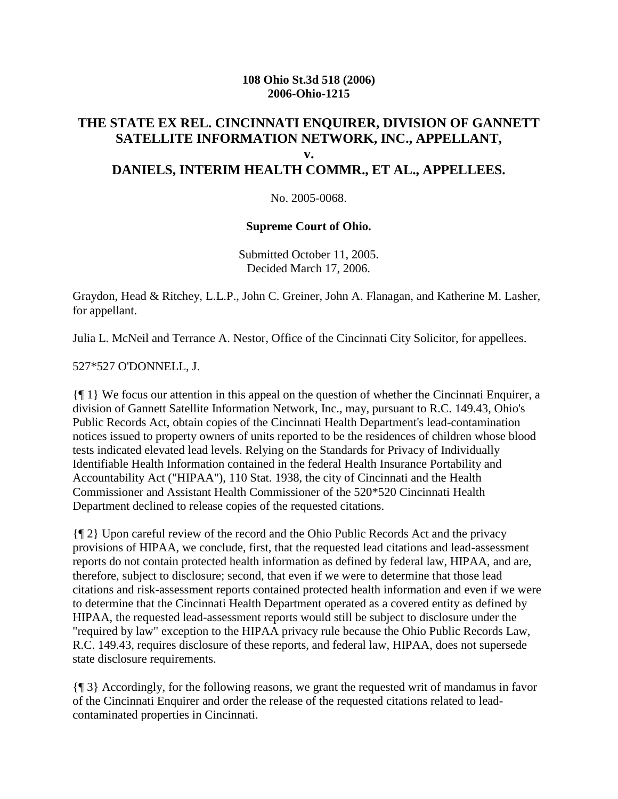#### **108 Ohio St.3d 518 (2006) 2006-Ohio-1215**

### **THE STATE EX REL. CINCINNATI ENQUIRER, DIVISION OF GANNETT SATELLITE INFORMATION NETWORK, INC., APPELLANT, v. DANIELS, INTERIM HEALTH COMMR., ET AL., APPELLEES.**

No. 2005-0068.

#### **Supreme Court of Ohio.**

Submitted October 11, 2005. Decided March 17, 2006.

Graydon, Head & Ritchey, L.L.P., John C. Greiner, John A. Flanagan, and Katherine M. Lasher, for appellant.

Julia L. McNeil and Terrance A. Nestor, Office of the Cincinnati City Solicitor, for appellees.

527\*527 O'DONNELL, J.

{¶ 1} We focus our attention in this appeal on the question of whether the Cincinnati Enquirer, a division of Gannett Satellite Information Network, Inc., may, pursuant to R.C. 149.43, Ohio's Public Records Act, obtain copies of the Cincinnati Health Department's lead-contamination notices issued to property owners of units reported to be the residences of children whose blood tests indicated elevated lead levels. Relying on the Standards for Privacy of Individually Identifiable Health Information contained in the federal Health Insurance Portability and Accountability Act ("HIPAA"), 110 Stat. 1938, the city of Cincinnati and the Health Commissioner and Assistant Health Commissioner of the 520\*520 Cincinnati Health Department declined to release copies of the requested citations.

{¶ 2} Upon careful review of the record and the Ohio Public Records Act and the privacy provisions of HIPAA, we conclude, first, that the requested lead citations and lead-assessment reports do not contain protected health information as defined by federal law, HIPAA, and are, therefore, subject to disclosure; second, that even if we were to determine that those lead citations and risk-assessment reports contained protected health information and even if we were to determine that the Cincinnati Health Department operated as a covered entity as defined by HIPAA, the requested lead-assessment reports would still be subject to disclosure under the "required by law" exception to the HIPAA privacy rule because the Ohio Public Records Law, R.C. 149.43, requires disclosure of these reports, and federal law, HIPAA, does not supersede state disclosure requirements.

{¶ 3} Accordingly, for the following reasons, we grant the requested writ of mandamus in favor of the Cincinnati Enquirer and order the release of the requested citations related to leadcontaminated properties in Cincinnati.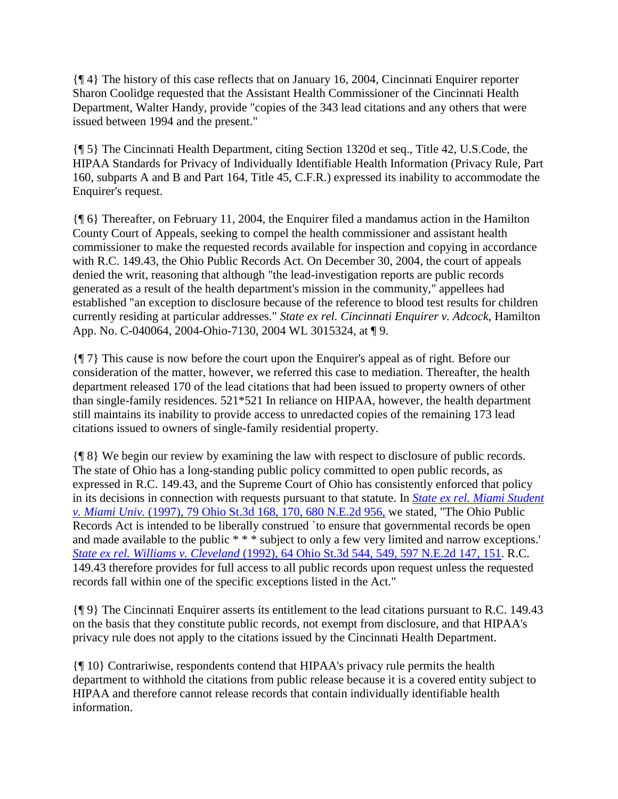{¶ 4} The history of this case reflects that on January 16, 2004, Cincinnati Enquirer reporter Sharon Coolidge requested that the Assistant Health Commissioner of the Cincinnati Health Department, Walter Handy, provide "copies of the 343 lead citations and any others that were issued between 1994 and the present."

{¶ 5} The Cincinnati Health Department, citing Section 1320d et seq., Title 42, U.S.Code, the HIPAA Standards for Privacy of Individually Identifiable Health Information (Privacy Rule, Part 160, subparts A and B and Part 164, Title 45, C.F.R.) expressed its inability to accommodate the Enquirer's request.

{¶ 6} Thereafter, on February 11, 2004, the Enquirer filed a mandamus action in the Hamilton County Court of Appeals, seeking to compel the health commissioner and assistant health commissioner to make the requested records available for inspection and copying in accordance with R.C. 149.43, the Ohio Public Records Act. On December 30, 2004, the court of appeals denied the writ, reasoning that although "the lead-investigation reports are public records generated as a result of the health department's mission in the community," appellees had established "an exception to disclosure because of the reference to blood test results for children currently residing at particular addresses." *State ex rel. Cincinnati Enquirer v. Adcock,* Hamilton App. No. C-040064, 2004-Ohio-7130, 2004 WL 3015324, at ¶ 9.

{¶ 7} This cause is now before the court upon the Enquirer's appeal as of right. Before our consideration of the matter, however, we referred this case to mediation. Thereafter, the health department released 170 of the lead citations that had been issued to property owners of other than single-family residences. 521\*521 In reliance on HIPAA, however, the health department still maintains its inability to provide access to unredacted copies of the remaining 173 lead citations issued to owners of single-family residential property.

{¶ 8} We begin our review by examining the law with respect to disclosure of public records. The state of Ohio has a long-standing public policy committed to open public records, as expressed in R.C. 149.43, and the Supreme Court of Ohio has consistently enforced that policy in its decisions in connection with requests pursuant to that statute. In *[State ex rel. Miami Student](http://scholar.google.co.in/scholar_case?case=15534295669244301823&q=State+ex+rel.+Cincinnati+Enquirer+v.+Daniels&hl=en&as_sdt=2,5&scilh=0)  v. Miami Univ.* [\(1997\), 79 Ohio St.3d 168, 170, 680 N.E.2d 956,](http://scholar.google.co.in/scholar_case?case=15534295669244301823&q=State+ex+rel.+Cincinnati+Enquirer+v.+Daniels&hl=en&as_sdt=2,5&scilh=0) we stated, "The Ohio Public Records Act is intended to be liberally construed `to ensure that governmental records be open and made available to the public \* \* \* subject to only a few very limited and narrow exceptions.' *State ex rel. Williams v. Cleveland* [\(1992\), 64 Ohio St.3d 544, 549, 597 N.E.2d 147, 151.](http://scholar.google.co.in/scholar_case?case=9373063616452819667&q=State+ex+rel.+Cincinnati+Enquirer+v.+Daniels&hl=en&as_sdt=2,5&scilh=0) R.C. 149.43 therefore provides for full access to all public records upon request unless the requested records fall within one of the specific exceptions listed in the Act."

{¶ 9} The Cincinnati Enquirer asserts its entitlement to the lead citations pursuant to R.C. 149.43 on the basis that they constitute public records, not exempt from disclosure, and that HIPAA's privacy rule does not apply to the citations issued by the Cincinnati Health Department.

{¶ 10} Contrariwise, respondents contend that HIPAA's privacy rule permits the health department to withhold the citations from public release because it is a covered entity subject to HIPAA and therefore cannot release records that contain individually identifiable health information.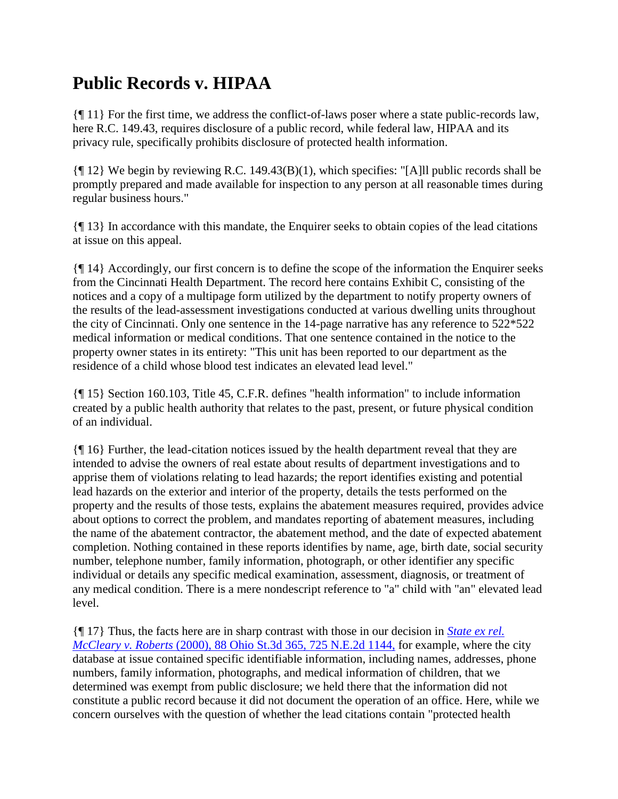## **Public Records v. HIPAA**

{¶ 11} For the first time, we address the conflict-of-laws poser where a state public-records law, here R.C. 149.43, requires disclosure of a public record, while federal law, HIPAA and its privacy rule, specifically prohibits disclosure of protected health information.

{¶ 12} We begin by reviewing R.C. 149.43(B)(1), which specifies: "[A]ll public records shall be promptly prepared and made available for inspection to any person at all reasonable times during regular business hours."

{¶ 13} In accordance with this mandate, the Enquirer seeks to obtain copies of the lead citations at issue on this appeal.

{¶ 14} Accordingly, our first concern is to define the scope of the information the Enquirer seeks from the Cincinnati Health Department. The record here contains Exhibit C, consisting of the notices and a copy of a multipage form utilized by the department to notify property owners of the results of the lead-assessment investigations conducted at various dwelling units throughout the city of Cincinnati. Only one sentence in the 14-page narrative has any reference to 522\*522 medical information or medical conditions. That one sentence contained in the notice to the property owner states in its entirety: "This unit has been reported to our department as the residence of a child whose blood test indicates an elevated lead level."

{¶ 15} Section 160.103, Title 45, C.F.R. defines "health information" to include information created by a public health authority that relates to the past, present, or future physical condition of an individual.

{¶ 16} Further, the lead-citation notices issued by the health department reveal that they are intended to advise the owners of real estate about results of department investigations and to apprise them of violations relating to lead hazards; the report identifies existing and potential lead hazards on the exterior and interior of the property, details the tests performed on the property and the results of those tests, explains the abatement measures required, provides advice about options to correct the problem, and mandates reporting of abatement measures, including the name of the abatement contractor, the abatement method, and the date of expected abatement completion. Nothing contained in these reports identifies by name, age, birth date, social security number, telephone number, family information, photograph, or other identifier any specific individual or details any specific medical examination, assessment, diagnosis, or treatment of any medical condition. There is a mere nondescript reference to "a" child with "an" elevated lead level.

{¶ 17} Thus, the facts here are in sharp contrast with those in our decision in *[State ex rel.](http://scholar.google.co.in/scholar_case?case=15111962327354367564&q=State+ex+rel.+Cincinnati+Enquirer+v.+Daniels&hl=en&as_sdt=2,5&scilh=0)  McCleary v. Roberts* [\(2000\), 88 Ohio St.3d 365, 725 N.E.2d 1144,](http://scholar.google.co.in/scholar_case?case=15111962327354367564&q=State+ex+rel.+Cincinnati+Enquirer+v.+Daniels&hl=en&as_sdt=2,5&scilh=0) for example, where the city database at issue contained specific identifiable information, including names, addresses, phone numbers, family information, photographs, and medical information of children, that we determined was exempt from public disclosure; we held there that the information did not constitute a public record because it did not document the operation of an office. Here, while we concern ourselves with the question of whether the lead citations contain "protected health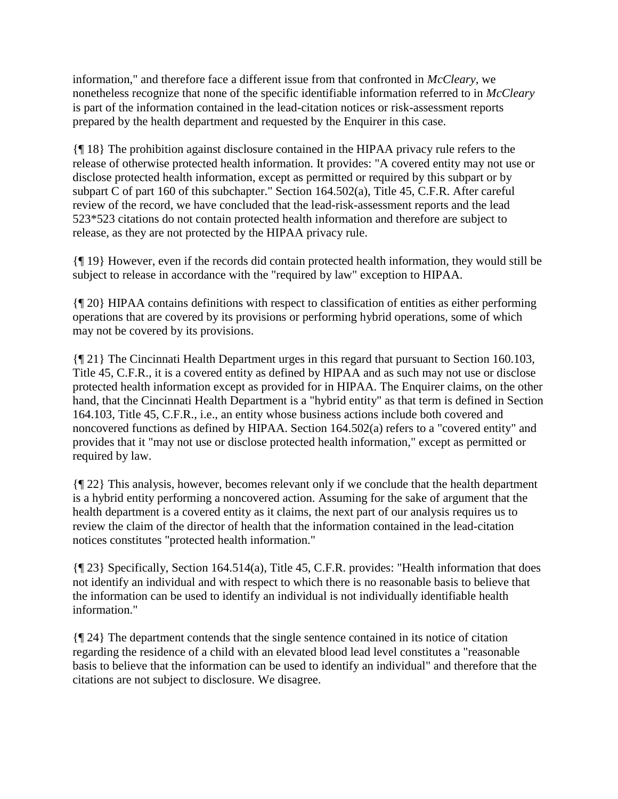information," and therefore face a different issue from that confronted in *McCleary,* we nonetheless recognize that none of the specific identifiable information referred to in *McCleary* is part of the information contained in the lead-citation notices or risk-assessment reports prepared by the health department and requested by the Enquirer in this case.

{¶ 18} The prohibition against disclosure contained in the HIPAA privacy rule refers to the release of otherwise protected health information. It provides: "A covered entity may not use or disclose protected health information, except as permitted or required by this subpart or by subpart C of part 160 of this subchapter." Section 164.502(a), Title 45, C.F.R. After careful review of the record, we have concluded that the lead-risk-assessment reports and the lead 523\*523 citations do not contain protected health information and therefore are subject to release, as they are not protected by the HIPAA privacy rule.

{¶ 19} However, even if the records did contain protected health information, they would still be subject to release in accordance with the "required by law" exception to HIPAA.

{¶ 20} HIPAA contains definitions with respect to classification of entities as either performing operations that are covered by its provisions or performing hybrid operations, some of which may not be covered by its provisions.

{¶ 21} The Cincinnati Health Department urges in this regard that pursuant to Section 160.103, Title 45, C.F.R., it is a covered entity as defined by HIPAA and as such may not use or disclose protected health information except as provided for in HIPAA. The Enquirer claims, on the other hand, that the Cincinnati Health Department is a "hybrid entity" as that term is defined in Section 164.103, Title 45, C.F.R., i.e., an entity whose business actions include both covered and noncovered functions as defined by HIPAA. Section 164.502(a) refers to a "covered entity" and provides that it "may not use or disclose protected health information," except as permitted or required by law.

{¶ 22} This analysis, however, becomes relevant only if we conclude that the health department is a hybrid entity performing a noncovered action. Assuming for the sake of argument that the health department is a covered entity as it claims, the next part of our analysis requires us to review the claim of the director of health that the information contained in the lead-citation notices constitutes "protected health information."

{¶ 23} Specifically, Section 164.514(a), Title 45, C.F.R. provides: "Health information that does not identify an individual and with respect to which there is no reasonable basis to believe that the information can be used to identify an individual is not individually identifiable health information."

{¶ 24} The department contends that the single sentence contained in its notice of citation regarding the residence of a child with an elevated blood lead level constitutes a "reasonable basis to believe that the information can be used to identify an individual" and therefore that the citations are not subject to disclosure. We disagree.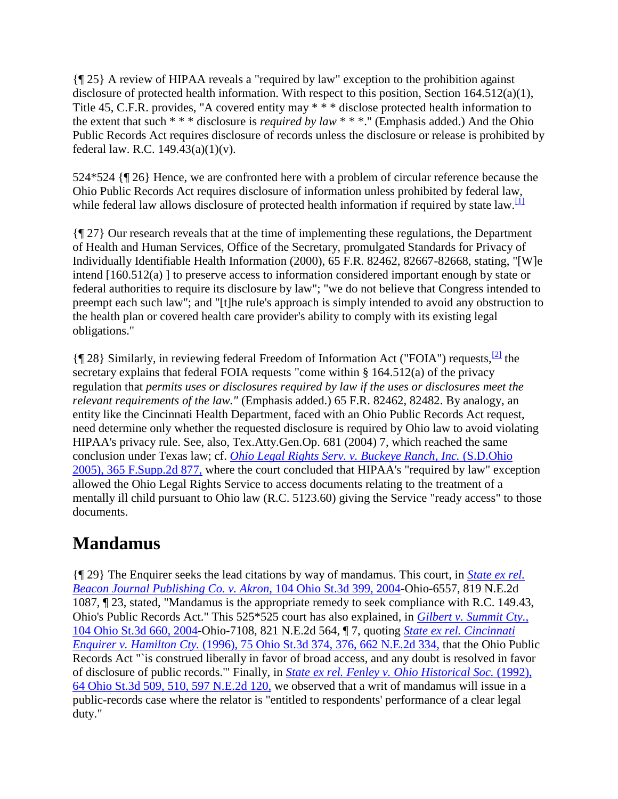{¶ 25} A review of HIPAA reveals a "required by law" exception to the prohibition against disclosure of protected health information. With respect to this position, Section 164.512(a)(1), Title 45, C.F.R. provides, "A covered entity may \* \* \* disclose protected health information to the extent that such \* \* \* disclosure is *required by law* \* \* \*." (Emphasis added.) And the Ohio Public Records Act requires disclosure of records unless the disclosure or release is prohibited by federal law. R.C.  $149.43(a)(1)(v)$ .

524\*524 {¶ 26} Hence, we are confronted here with a problem of circular reference because the Ohio Public Records Act requires disclosure of information unless prohibited by federal law, while federal law allows disclosure of protected health information if required by state law.<sup>[\[1\]](http://scholar.google.co.in/scholar_case?q=State+ex+rel.+Cincinnati+Enquirer+v.+Daniels&hl=en&as_sdt=2,5&case=15559411466699918241&scilh=0#[1])</sup>

{¶ 27} Our research reveals that at the time of implementing these regulations, the Department of Health and Human Services, Office of the Secretary, promulgated Standards for Privacy of Individually Identifiable Health Information (2000), 65 F.R. 82462, 82667-82668, stating, "[W]e intend [160.512(a) ] to preserve access to information considered important enough by state or federal authorities to require its disclosure by law"; "we do not believe that Congress intended to preempt each such law"; and "[t]he rule's approach is simply intended to avoid any obstruction to the health plan or covered health care provider's ability to comply with its existing legal obligations."

 ${\sqrt{28}}$  Similarly, in reviewing federal Freedom of Information Act ("FOIA") requests, <sup>[\[2\]](http://scholar.google.co.in/scholar_case?q=State+ex+rel.+Cincinnati+Enquirer+v.+Daniels&hl=en&as_sdt=2,5&case=15559411466699918241&scilh=0#[2])</sup> the secretary explains that federal FOIA requests "come within § 164.512(a) of the privacy regulation that *permits uses or disclosures required by law if the uses or disclosures meet the relevant requirements of the law."* (Emphasis added.) 65 F.R. 82462, 82482. By analogy, an entity like the Cincinnati Health Department, faced with an Ohio Public Records Act request, need determine only whether the requested disclosure is required by Ohio law to avoid violating HIPAA's privacy rule. See, also, Tex.Atty.Gen.Op. 681 (2004) 7, which reached the same conclusion under Texas law; cf. *[Ohio Legal Rights Serv. v. Buckeye Ranch, Inc.](http://scholar.google.co.in/scholar_case?case=3491086724156479357&q=State+ex+rel.+Cincinnati+Enquirer+v.+Daniels&hl=en&as_sdt=2,5&scilh=0)* (S.D.Ohio [2005\), 365 F.Supp.2d 877,](http://scholar.google.co.in/scholar_case?case=3491086724156479357&q=State+ex+rel.+Cincinnati+Enquirer+v.+Daniels&hl=en&as_sdt=2,5&scilh=0) where the court concluded that HIPAA's "required by law" exception allowed the Ohio Legal Rights Service to access documents relating to the treatment of a mentally ill child pursuant to Ohio law (R.C. 5123.60) giving the Service "ready access" to those documents.

## **Mandamus**

{¶ 29} The Enquirer seeks the lead citations by way of mandamus. This court, in *[State ex rel.](http://scholar.google.co.in/scholar_case?case=13004452442063876162&q=State+ex+rel.+Cincinnati+Enquirer+v.+Daniels&hl=en&as_sdt=2,5&scilh=0)  [Beacon Journal Publishing Co. v. Akron,](http://scholar.google.co.in/scholar_case?case=13004452442063876162&q=State+ex+rel.+Cincinnati+Enquirer+v.+Daniels&hl=en&as_sdt=2,5&scilh=0)* 104 Ohio St.3d 399, 2004-Ohio-6557, 819 N.E.2d 1087, ¶ 23, stated, "Mandamus is the appropriate remedy to seek compliance with R.C. 149.43, Ohio's Public Records Act." This 525\*525 court has also explained, in *[Gilbert v. Summit Cty.,](http://scholar.google.co.in/scholar_case?case=9229586446310619208&q=State+ex+rel.+Cincinnati+Enquirer+v.+Daniels&hl=en&as_sdt=2,5&scilh=0)* [104 Ohio St.3d 660, 2004-](http://scholar.google.co.in/scholar_case?case=9229586446310619208&q=State+ex+rel.+Cincinnati+Enquirer+v.+Daniels&hl=en&as_sdt=2,5&scilh=0)Ohio-7108, 821 N.E.2d 564, ¶ 7, quoting *[State ex rel. Cincinnati](http://scholar.google.co.in/scholar_case?case=16966377088145645307&q=State+ex+rel.+Cincinnati+Enquirer+v.+Daniels&hl=en&as_sdt=2,5&scilh=0)  Enquirer v. Hamilton Cty.* [\(1996\), 75 Ohio St.3d 374, 376, 662 N.E.2d 334,](http://scholar.google.co.in/scholar_case?case=16966377088145645307&q=State+ex+rel.+Cincinnati+Enquirer+v.+Daniels&hl=en&as_sdt=2,5&scilh=0) that the Ohio Public Records Act "`is construed liberally in favor of broad access, and any doubt is resolved in favor of disclosure of public records.'" Finally, in *[State ex rel. Fenley v. Ohio Historical Soc.](http://scholar.google.co.in/scholar_case?case=12707453477473888591&q=State+ex+rel.+Cincinnati+Enquirer+v.+Daniels&hl=en&as_sdt=2,5&scilh=0)* (1992), [64 Ohio St.3d 509, 510, 597 N.E.2d 120,](http://scholar.google.co.in/scholar_case?case=12707453477473888591&q=State+ex+rel.+Cincinnati+Enquirer+v.+Daniels&hl=en&as_sdt=2,5&scilh=0) we observed that a writ of mandamus will issue in a public-records case where the relator is "entitled to respondents' performance of a clear legal duty."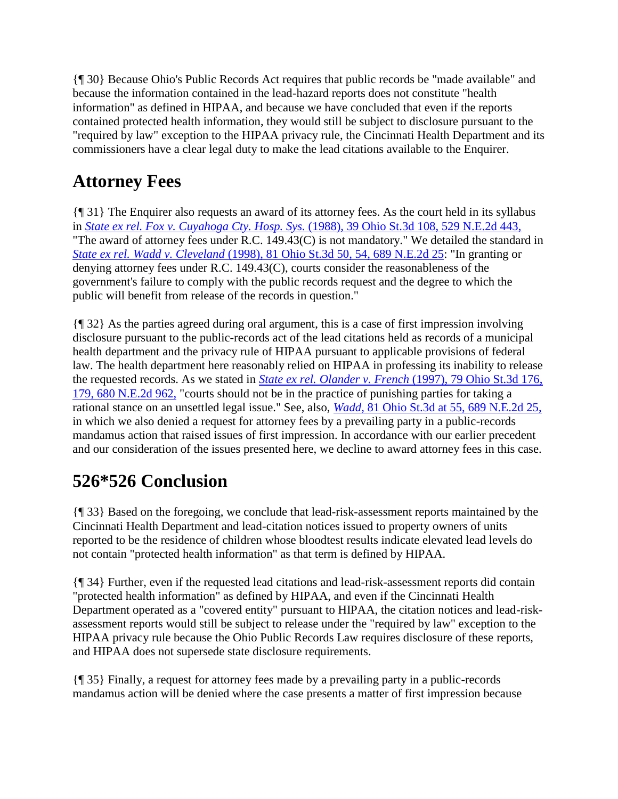{¶ 30} Because Ohio's Public Records Act requires that public records be "made available" and because the information contained in the lead-hazard reports does not constitute "health information" as defined in HIPAA, and because we have concluded that even if the reports contained protected health information, they would still be subject to disclosure pursuant to the "required by law" exception to the HIPAA privacy rule, the Cincinnati Health Department and its commissioners have a clear legal duty to make the lead citations available to the Enquirer.

# **Attorney Fees**

{¶ 31} The Enquirer also requests an award of its attorney fees. As the court held in its syllabus in *State ex rel. Fox v. Cuyahoga Cty. Hosp. Sys.* [\(1988\), 39 Ohio St.3d 108, 529 N.E.2d 443,](http://scholar.google.co.in/scholar_case?case=3273998492223349911&q=State+ex+rel.+Cincinnati+Enquirer+v.+Daniels&hl=en&as_sdt=2,5&scilh=0) "The award of attorney fees under R.C. 149.43(C) is not mandatory." We detailed the standard in *State ex rel. Wadd v. Cleveland* [\(1998\), 81 Ohio St.3d 50, 54, 689 N.E.2d 25:](http://scholar.google.co.in/scholar_case?case=9354611495738439652&q=State+ex+rel.+Cincinnati+Enquirer+v.+Daniels&hl=en&as_sdt=2,5&scilh=0) "In granting or denying attorney fees under R.C. 149.43(C), courts consider the reasonableness of the government's failure to comply with the public records request and the degree to which the public will benefit from release of the records in question."

{¶ 32} As the parties agreed during oral argument, this is a case of first impression involving disclosure pursuant to the public-records act of the lead citations held as records of a municipal health department and the privacy rule of HIPAA pursuant to applicable provisions of federal law. The health department here reasonably relied on HIPAA in professing its inability to release the requested records. As we stated in *[State ex rel. Olander v. French](http://scholar.google.co.in/scholar_case?case=1884863485412439450&q=State+ex+rel.+Cincinnati+Enquirer+v.+Daniels&hl=en&as_sdt=2,5&scilh=0)* (1997), 79 Ohio St.3d 176, [179, 680 N.E.2d 962,](http://scholar.google.co.in/scholar_case?case=1884863485412439450&q=State+ex+rel.+Cincinnati+Enquirer+v.+Daniels&hl=en&as_sdt=2,5&scilh=0) "courts should not be in the practice of punishing parties for taking a rational stance on an unsettled legal issue." See, also, *Wadd,* [81 Ohio St.3d at 55, 689 N.E.2d 25,](http://scholar.google.co.in/scholar_case?case=9354611495738439652&q=State+ex+rel.+Cincinnati+Enquirer+v.+Daniels&hl=en&as_sdt=2,5&scilh=0) in which we also denied a request for attorney fees by a prevailing party in a public-records mandamus action that raised issues of first impression. In accordance with our earlier precedent and our consideration of the issues presented here, we decline to award attorney fees in this case.

# **526\*526 Conclusion**

{¶ 33} Based on the foregoing, we conclude that lead-risk-assessment reports maintained by the Cincinnati Health Department and lead-citation notices issued to property owners of units reported to be the residence of children whose bloodtest results indicate elevated lead levels do not contain "protected health information" as that term is defined by HIPAA.

{¶ 34} Further, even if the requested lead citations and lead-risk-assessment reports did contain "protected health information" as defined by HIPAA, and even if the Cincinnati Health Department operated as a "covered entity" pursuant to HIPAA, the citation notices and lead-riskassessment reports would still be subject to release under the "required by law" exception to the HIPAA privacy rule because the Ohio Public Records Law requires disclosure of these reports, and HIPAA does not supersede state disclosure requirements.

{¶ 35} Finally, a request for attorney fees made by a prevailing party in a public-records mandamus action will be denied where the case presents a matter of first impression because